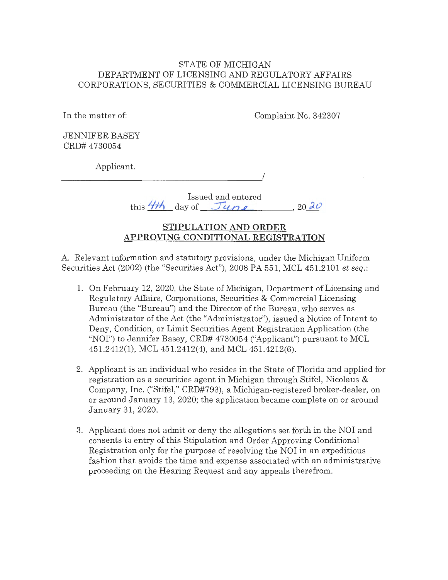### STATE OF MICHIGAN DEPARTMENT OF LICENSING AND REGULATORY AFFAIRS CORPORATIONS, SECURITIES & COMMERCIAL LICENSING BUREAU

In the matter of:

Complaint No. 342307

JENNIFER BASEY CRD# 4730054

Applicant.

 $\overline{\phantom{a}}$ 

# $\frac{4\pi}{100}$  day of  $\frac{June}{I}$ , 20  $\frac{20}{10}$ Issued and entered

### **STIPULATION AND ORDER APPROVING CONDITIONAL REGISTRATION**

A. Relevant information and statutory provisions, under the Michigan Uniform Securities Act (2002) (the "Securities Act"), 2008 PA 551, MCL 451.2101 *et seq.:* 

- 1. On February 12, 2020, the State of Michigan, Department of Licensing and Regulatory Affairs, Corporations, Securities & Commercial Licensing Bureau (the "Bureau") and the Director of the Bureau, who serves as Administrator of the Act (the "Administrator"), issued a Notice of Intent to Deny, Condition, or Limit Securities Agent Registration Application (the "NOI") to Jennifer Basey, CRD# 4730054 ("Applicant") pursuant to MCL 451.2412(1), MCL 451.2412(4), and MCL 451.4212(6).
- 2. Applicant is an individual who resides in the State of Florida and applied for registration as a securities agent in Michigan through Stifel, Nicolaus & Company, Inc. ("Stifel," CRD#793), a Michigan-registered broker-dealer, on or around January 13, 2020; the application became complete on or around January 31, 2020.
- 3. Applicant does not admit or deny the allegations set forth in the NOI and consents to entry of this Stipulation and Order Approving Conditional Registration only for the purpose of resolving the NOI in an expeditious fashion that avoids the time and expense associated with an administrative proceeding on the Hearing Request and any appeals therefrom.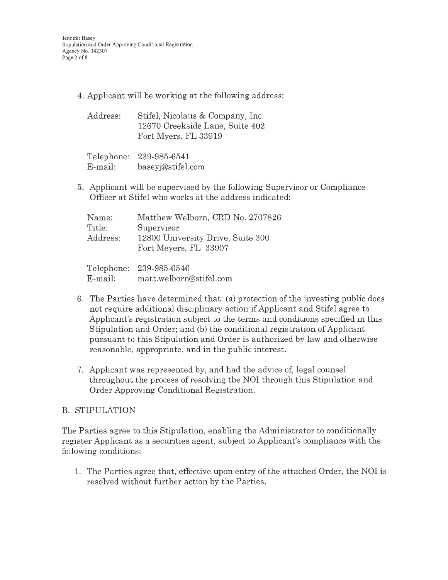4. Applicant will be working at the following address:

| $\rm Address:$ | Stifel, Nicolaus & Company, Inc. |
|----------------|----------------------------------|
|                | 12670 Creekside Lane, Suite 402  |
|                | Fort Myers, FL 33919             |

| Telephone: | 239-985-6541      |
|------------|-------------------|
| E-mail:    | baseyj@stifel.com |

5. Applicant will be supervised by the following Supervisor or Compliance Officer at Stifel who works at the address indicated:

| Name:    | Matthew Welborn, CRD No. 2707826  |
|----------|-----------------------------------|
| Title:   | Supervisor                        |
| Address: | 12800 University Drive, Suite 300 |
|          | Fort Meyers, FL 33907             |

|            | Telephone: 239-985-6546 |
|------------|-------------------------|
| $E$ -mail: | matt.welborn@stifel.com |

- 6. The Parties have determined that: (a) protection of the investing public does not require additional disciplinary action if Applicant and Stifel agree to Applicant's registration subject to the terms and conditions specified in this Stipulation and Order; and (b) the conditional registration of Applicant pursuant to this Stipulation and Order is authorized by law and otherwise reasonable, appropriate, and in the public interest.
- 7. Applicant was represented by, and had the advice of, legal counsel throughout the process of resolving the NOI through this Stipulation and Order Approving Conditional Registration.

### B. STIPULATION

The Parties agree to this Stipulation, enabling the Administrator to conditionally register Applicant as a securities agent, subject to Applicant's compliance with the following conditions:

1. The Parties agree that, effective upon entry of the attached Order, the NOI is resolved without further action by the Parties.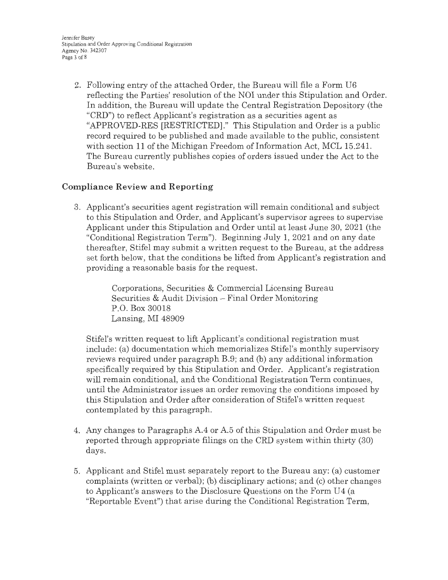Jennifer Basey Stipulation and Order Approving Conditional Registration Agency No. 342307 Page 3 of 8

2. Following entry of the attached Order, the Bureau will file a Form U6 reflecting the Parties' resolution of the NOI under this Stipulation and Order. In addition, the Bureau will update the Central Registration Depository (the "CRD") to reflect Applicant's registration as a securities agent as "APPROVED-RES [RESTRICTED] ." This Stipulation and Order is a public record required to be published and made available to the public, consistent with section **11** of the Michigan Freedom of Information Act, MCL 15.241. The Bureau currently publishes copies of orders issued under the Act to the Bureau's website.

### **Compliance Review and Reporting**

3. Applicant's securities agent registration will remain conditional and subject to this Stipulation and Order, and Applicant's supervisor agrees to supervise Applicant under this Stipulation and Order until at least June 30, 2021 (the "Conditional Registration Term"). Beginning July **1,** 2021 and on any date thereafter, Stifel may submit a written request to the Bureau, at the address set forth below, that the conditions be lifted from Applicant's registration and providing a reasonable basis for the request.

> Corporations, Securities & Commercial Licensing Bureau Securities & Audit Division - Final Order Monitoring P.O. Box 30018 Lansing, MI 48909

Stifel's written request to lift Applicant's conditional registration must include: (a) documentation which memorializes Stifel's monthly supervisory reviews required under paragraph B.9; and (b) any additional information specifically required by this Stipulation and Order. Applicant's registration will remain conditional, and the Conditional Registration Term continues, until the Administrator issues an order removing the conditions imposed by this Stipulation and Order after consideration of Stifel's written request contemplated by this paragraph.

- 4. Any changes to Paragraphs A.4 or A.5 of this Stipulation and Order must be reported through appropriate filings on the CRD system within thirty (30) days.
- 5. Applicant and Stifel must separately report to the Bureau any: (a) customer complaints (written or verbal); (b) disciplinary actions; and (c) other changes to Applicant's answers to the Disclosure Questions on the Form U4 (a "Reportable Event") that arise during the Conditional Registration Term,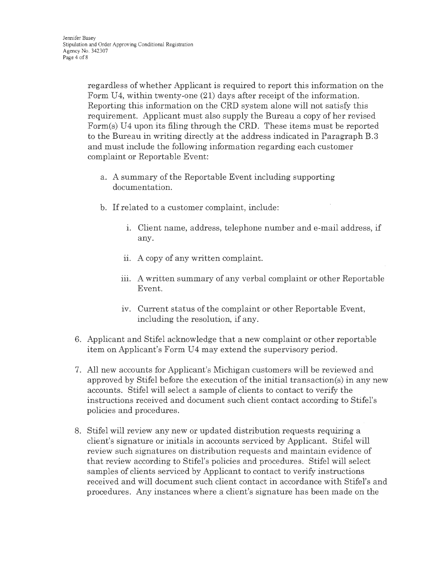regardless of whether Applicant is required to report this information on the Form U4, within twenty-one (21) days after receipt of the information. Reporting this information on the CRD system alone will not satisfy this requirement. Applicant must also supply the Bureau a copy of her revised Form(s) U4 upon its filing through the CRD. These items must be reported to the Bureau in writing directly at the address indicated in Paragraph B.3 and must include the following information regarding each customer complaint or Reportable Event:

- a. A summary of the Reportable Event including supporting documentation.
- b. If related to a customer complaint, include:
	- 1. Client name, address, telephone number and e-mail address, if any.
	- ii. A copy of any written complaint.
	- iii. A written summary of any verbal complaint or other Reportable Event.
	- 1v. Current status of the complaint or other Reportable Event, including the resolution, if any.
- 6. Applicant and Stifel acknowledge that a new complaint or other reportable item on Applicant's Form U4 may extend the supervisory period.
- 7. All new accounts for Applicant's Michigan customers will be reviewed and approved by Stifel before the execution of the initial transaction(s) in any new accounts. Stifel will select a sample of clients to contact to verify the instructions received and document such client contact according to Stifel's policies and procedures.
- 8. Stifel will review any new or updated distribution requests requiring a client's signature or initials in accounts serviced by Applicant. Stifel will review such signatures on distribution requests and maintain evidence of that review according to Stifel's policies and procedures. Stifel will select samples of clients serviced by Applicant to contact to verify instructions received and will document such client contact in accordance with Stifel's and procedures. Any instances where a client's signature has been made on the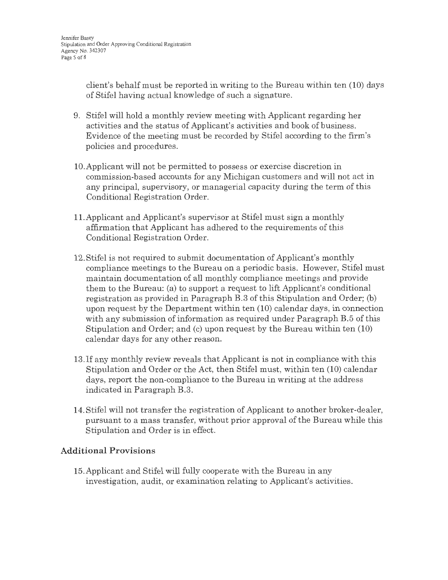client's behalf must be reported in writing to the Bureau within ten (10) days of Stifel having actual knowledge of such a signature.

- 9. Stifel will hold a monthly review meeting with Applicant regarding her activities and the status of Applicant's activities and book of business. Evidence of the meeting must be recorded by Stifel according to the firm's policies and procedures.
- 10.Applicant will not be permitted to possess or exercise discretion in commission-based accounts for any Michigan customers and will not act in any principal, supervisory, or managerial capacity during the term of this Conditional Registration Order.
- 11.Applicant and Applicant's supervisor at Stifel must sign a monthly affirmation that Applicant has adhered to the requirements of this Conditional Registration Order.
- 12. Stifel is not required to submit documentation of Applicant's monthly compliance meetings to the Bureau on a periodic basis. However, Stifel must maintain documentation of all monthly compliance meetings and provide them to the Bureau: (a) to support a request to lift Applicant's conditional registration as provided in Paragraph B.3 of this Stipulation and Order; (b) upon request by the Department within ten (10) calendar days, in connection with any submission of information as required under Paragraph B.5 of this Stipulation and Order; and (c) upon request by the Bureau within ten (10) calendar days for any other reason.
- 13.If any monthly review reveals that Applicant is not in compliance with this Stipulation and Order or the Act, then Stifel must, within ten (10) calendar days, report the non-compliance to the Bureau in writing at the address indicated in Paragraph B.3.
- 14. Stifel will not transfer the registration of Applicant to another broker-dealer, pursuant to a mass transfer, without prior approval of the Bureau while this Stipulation and Order is in effect.

## **Additional Provisions**

15.Applicant and Stifel will fully cooperate with the Bureau in any investigation, audit, or examination relating to Applicant's activities.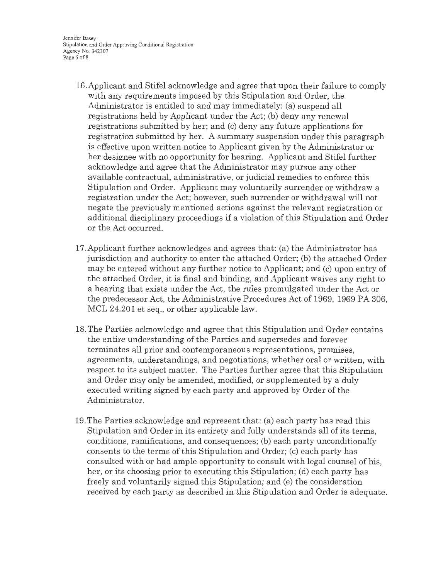Jennifer Basey Stipulation and Order Approving Conditional Registration Agency No. 342307 Page 6 of 8

- 16.Applicant and Stifel acknowledge and agree that upon their failure to comply with any requirements imposed by this Stipulation and Order, the Administrator is entitled to and may immediately: (a) suspend all registrations held by Applicant under the Act; (b) deny any renewal registrations submitted by her; and (c) deny any future applications for registration submitted by her. A summary suspension under this paragraph is effective upon written notice to Applicant given by the Administrator or her designee with no opportunity for hearing. Applicant and Stifel further acknowledge and agree that the Administrator may pursue any other available contractual, administrative, or judicial remedies to enforce this Stipulation and Order. Applicant may voluntarily surrender or withdraw a registration under the Act; however, such surrender or withdrawal will not negate the previously mentioned actions against the relevant registration or additional disciplinary proceedings if a violation of this Stipulation and Order or the Act occurred.
- 17.Applicant further acknowledges and agrees that: (a) the Administrator has jurisdiction and authority to enter the attached Order; (b) the attached Order may be entered without any further notice to Applicant; and (c) upon entry of the attached Order, it is final and binding, and Applicant waives any right to a hearing that exists under the Act, the rules promulgated under the Act or the predecessor Act, the Administrative Procedures Act of 1969, 1969 PA 306, MCL 24.201 et seq., or other applicable law.
- 18. The Parties acknowledge and agree that this Stipulation and Order contains the entire understanding of the Parties and supersedes and forever terminates all prior and contemporaneous representations, promises, agreements, understandings, and negotiations, whether oral or written, with respect to its subject matter. The Parties further agree that this Stipulation and Order may only be amended, modified, or supplemented by a duly executed writing signed by each party and approved by Order of the Administrator.
- 19. The Parties acknowledge and represent that: (a) each party has read this Stipulation and Order in its entirety and fully understands all of its terms, conditions, ramifications, and consequences; (b) each party unconditionally consents to the terms of this Stipulation and Order; (c) each party has consulted with or had ample opportunity to consult with legal counsel of his, her, or its choosing prior to executing this Stipulation; (d) each party has freely and voluntarily signed this Stipulation; and (e) the consideration received by each party as described in this Stipulation and Order is adequate.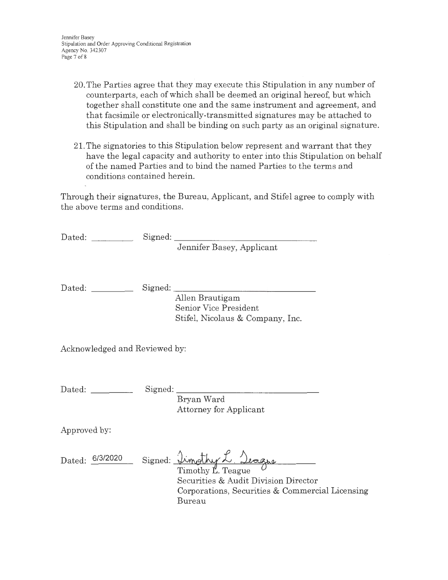Jennifer Basey Stipulation and Order Approving Conditional Registration Agency No. 342307 Page 7 of 8

- 20. The Parties agree that they may execute this Stipulation in any number of counterparts, each of which shall be deemed an original hereof, but which together shall constitute one and the same instrument and agreement, and that facsimile or electronically-transmitted signatures may be attached to this Stipulation and shall be binding on such party as an original signature.
- 21. The signatories to this Stipulation below represent and warrant that they have the legal capacity and authority to enter into this Stipulation on behalf of the named Parties and to bind the named Parties to the terms and conditions contained herein.

Through their signatures, the Bureau, Applicant, and Stifel agree to comply with the above terms and conditions.

| Dated:                        | Signed: | Jennifer Basey, Applicant                                                    |
|-------------------------------|---------|------------------------------------------------------------------------------|
| Dated:                        |         | Allen Brautigam<br>Senior Vice President<br>Stifel, Nicolaus & Company, Inc. |
| Acknowledged and Reviewed by: |         |                                                                              |

Dated: Signed:

Bryan Ward Attorney for Applicant

Approved by:

Dated: 6/3/2020 Signed: <u>*<u>Dimigthy</u>*  $L$ <sub>c</sub></u>

Timothy L. Teague Securities & Audit Division Director Corporations, Securities & Commercial Licensing Bureau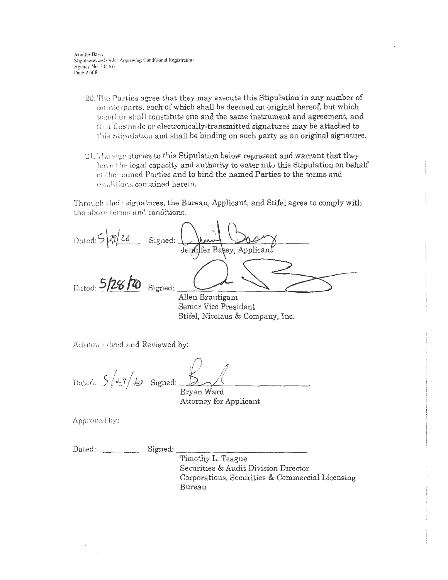Jennifer Basev Simulation and Order Approving Conditional Registration **1\gt:m:y Nt) .** *. t.L.'.Y (i*  **Pag.<..• 7 nf** *8* 

- 20. The Parties agree that they may execute this Stipulation in any number of counterparts, each of which shall be deemed an original hereof, but which together shall constitute one and the same instrument and agreement, and thigh face imit or electronically-transmitted signatures may be attached to this Stipulation and shall be binding on such party as an original signature.
- 21. The signatories to this Stipulation below represent and warrant that they have the legal capacity and authority to enter into this Stipulation on behalf of the named Parties and to bind the named Parties to the terms and conditions contained herein.

Through their signatures, the Bureau, Applicant, and Stifel agree to comply with the above terms and conditions.

Dated:  $5220$ Signed: Jennifer Basey, Applicant  $D_{\text{ated}}$ : 5/26/20 Signed:  $\frac{1}{\text{Allen Brautigan}}$ Senior Vice President Stifel, Nicolaus & Company, Inc.

Acknowledged and Reviewed by:

Dated:  $5/18/10$  Signed:  $5/10$ *1f1* 

Bryan Ward Attorney for Applicant

Approved by:

| Dated: | Signed: |                                                 |
|--------|---------|-------------------------------------------------|
|        |         | Timothy L. Teague                               |
|        |         | Securities & Audit Division Director            |
|        |         | Corporations, Securities & Commercial Licensing |
|        |         | Bureau                                          |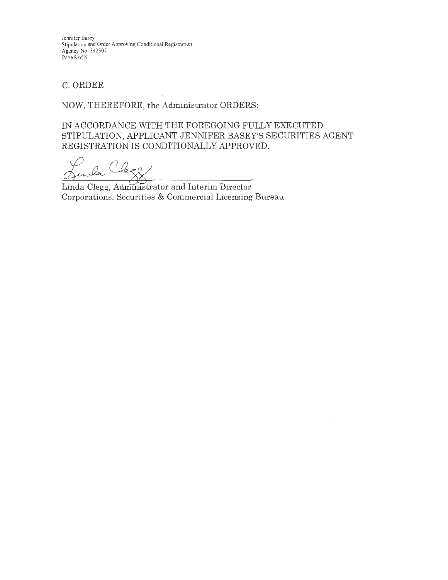Jennifer Basey Stipulation and Order Approving Conditional Registration Agency No. 342307 Page 8 of 8

C. ORDER

NOW, THEREFORE, the Administrator ORDERS:

IN ACCORDANCE WITH THE FOREGOING FULLY EXECUTED STIPULATION, APPLICANT JENNIFER BASEY'S SECURITIES AGENT REGISTRATION IS CONDITIONALLY APPROVED.

la C leep/

Linda Clegg, Administrator and Interim Director Corporations, Securities & Commercial Licensing Bureau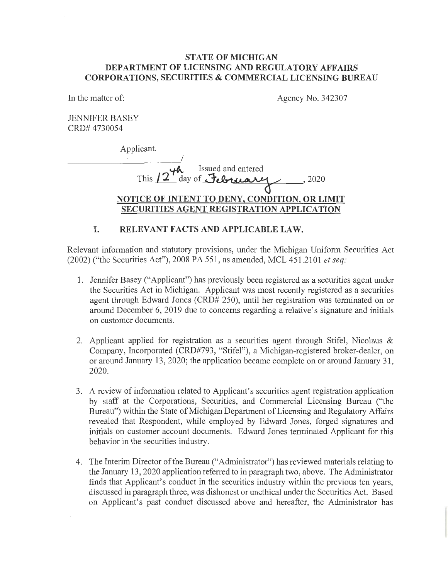#### **STATE OF MICHIGAN DEPARTMENT OF LICENSING AND REGULATORY AFFAIRS CORPORATIONS, SECURITIES & COMMERCIAL LICENSING BUREAU**

In the matter of:

Agency No. 342307

JENNIFER BASEY CRD# 4730054

Applicant.

I Issued and entered This <u>*f*<sup>2</sup> day of *Hebruary*, 2020</del></u> **NOTICE OF INTENT TO DENY, CONDITION, OR LIMIT SECURITIES AGENT REGISTRATION APPLICATION** 

### **I. RELEVANT FACTS AND APPLICABLE LAW.**

Relevant information and statutory provisions, under the Michigan Uniform Securities Act (2002) ("the Securities Act"), 2008 PA 551, as amended, MCL 451.2101 *et seq:* 

- 1. Jennifer Basey ("Applicant") has previously been registered as a securities agent under the Securities Act in Michigan. Applicant was most recently registered as a securities agent through Edward Jones (CRD# 250), until her registration was terminated on or around December 6, 2019 due to concerns regarding a relative's signature and initials on customer documents.
- 2. Applicant applied for registration as a securities agent through Stifel, Nicolaus & Company, Incorporated (CRD#793, "Stifel"), a Michigan-registered broker-dealer, on or around January 13, 2020; the application became complete on or around January 31, 2020.
- 3. A review of information related to Applicant's securities agent registration application by staff at the Corporations, Securities, and Commercial Licensing Bureau ("the Bureau") within the State of Michigan Department of Licensing and Regulatory Affairs revealed that Respondent, while employed by Edward Jones, forged signatures and initials on customer account documents. Edward Jones terminated Applicant for this behavior in the securities industry.
- 4. The Interim Director of the Bureau ("Administrator") has reviewed materials relating to the January 13, 2020 application referred to in paragraph two, above. The Administrator finds that Applicant's conduct in the securities industry within the previous ten years, discussed in paragraph three, was dishonest or unethical under the Securities Act. Based on Applicant's past conduct discussed above and hereafter, the Administrator has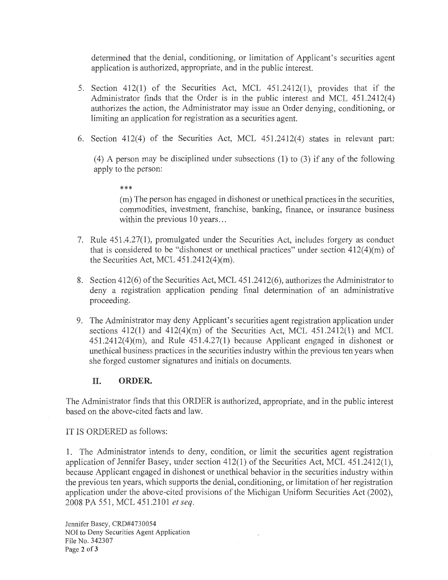determined that the denial, conditioning, or limitation of Applicant's securities agent application is authorized, appropriate, and in the public interest.

- 5. Section 412(1) of the Securities Act, MCL 451.2412(1), provides that if the Administrator finds that the Order is in the public interest and MCL 451.2412(4) authorizes the action, the Administrator may issue an Order denying, conditioning, or limiting an application for registration as a securities agent.
- 6. Section  $412(4)$  of the Securities Act, MCL  $451.2412(4)$  states in relevant part:

( 4) A person may be disciplined under subsections (1) to (3) if any of the following apply to the person:

### \*\*\*

(m) The person has engaged in dishonest or unethical practices in the securities, commodities, investment, franchise, banking, finance, or insurance business within the previous 10 years...

- 7. Rule 451.4.27(1), promulgated under the Securities Act, includes forgery as conduct that is considered to be "dishonest or unethical practices" under section  $412(4)(m)$  of the Securities Act, MCL 451.2412(4)(m).
- 8. Section 412(6) of the Securities Act, MCL 451.2412(6), authorizes the Administrator to deny a registration application pending final determination of an administrative proceeding.
- 9. The Administrator may deny Applicant's securities agent registration application under sections  $412(1)$  and  $412(4)(m)$  of the Securities Act, MCL  $451.2412(1)$  and MCL  $451.2412(4)$ (m), and Rule  $451.4.27(1)$  because Applicant engaged in dishonest or unethical business practices in the securities industry within the previous ten years when she forged customer signatures and initials on documents.

### **II. ORDER.**

The Administrator finds that this ORDER is authorized, appropriate, and in the public interest based on the above-cited facts and law.

IT IS ORDERED as follows:

1. The Administrator intends to deny, condition, or limit the securities agent registration application of Jennifer Basey, under section 412(1) of the Securities Act, MCL 451.2412(1), because Applicant engaged in dishonest or unethical behavior in the securities industry within the previous ten years, which supports the denial, conditioning, or limitation of her registration application under the above-cited provisions of the Michigan Uniform Securities Act (2002), 2008 PA 551, MCL 451.2101 *et seq.*